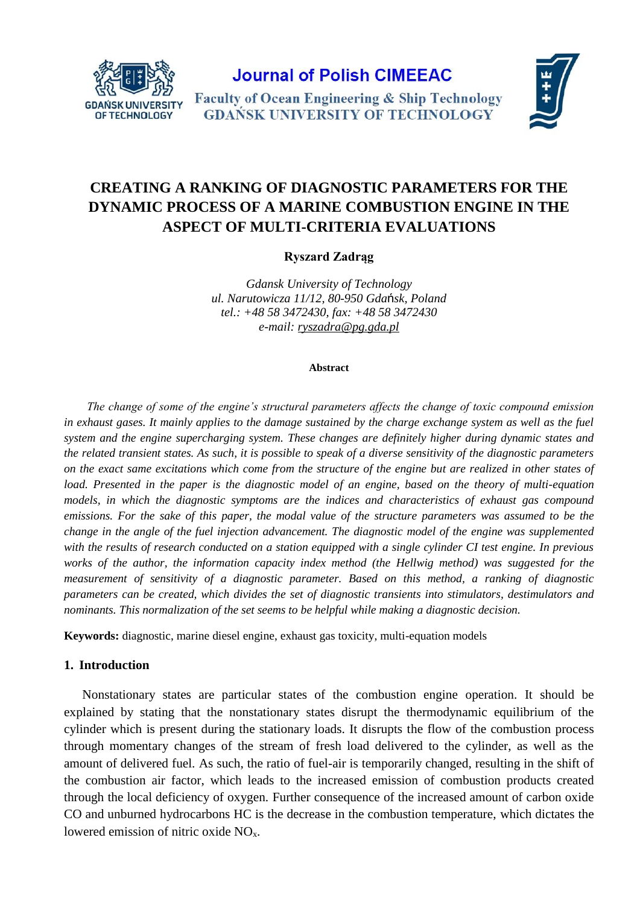

**Journal of Polish CIMEEAC** 

**Faculty of Ocean Engineering & Ship Technology GDANSK UNIVERSITY OF TECHNOLOGY** 



# **CREATING A RANKING OF DIAGNOSTIC PARAMETERS FOR THE DYNAMIC PROCESS OF A MARINE COMBUSTION ENGINE IN THE ASPECT OF MULTI-CRITERIA EVALUATIONS**

**Ryszard Zadrąg**

*Gdansk University of Technology ul. Narutowicza 11/12, 80-950 Gda*ń*sk, Poland tel.: +48 58 3472430, fax: +48 58 3472430 e-mail: [ryszadra@pg.gda.pl](mailto:ryszadra@pg.gda.pl)*

## **Abstract**

*The change of some of the engine's structural parameters affects the change of toxic compound emission*  in exhaust gases. It mainly applies to the damage sustained by the charge exchange system as well as the fuel *system and the engine supercharging system. These changes are definitely higher during dynamic states and the related transient states. As such, it is possible to speak of a diverse sensitivity of the diagnostic parameters on the exact same excitations which come from the structure of the engine but are realized in other states of load. Presented in the paper is the diagnostic model of an engine, based on the theory of multi-equation models, in which the diagnostic symptoms are the indices and characteristics of exhaust gas compound emissions. For the sake of this paper, the modal value of the structure parameters was assumed to be the change in the angle of the fuel injection advancement. The diagnostic model of the engine was supplemented with the results of research conducted on a station equipped with a single cylinder CI test engine. In previous works of the author, the information capacity index method (the Hellwig method) was suggested for the measurement of sensitivity of a diagnostic parameter. Based on this method, a ranking of diagnostic parameters can be created, which divides the set of diagnostic transients into stimulators, destimulators and nominants. This normalization of the set seems to be helpful while making a diagnostic decision.*

**Keywords:** diagnostic, marine diesel engine, exhaust gas toxicity, multi-equation models

## **1. Introduction**

Nonstationary states are particular states of the combustion engine operation. It should be explained by stating that the nonstationary states disrupt the thermodynamic equilibrium of the cylinder which is present during the stationary loads. It disrupts the flow of the combustion process through momentary changes of the stream of fresh load delivered to the cylinder, as well as the amount of delivered fuel. As such, the ratio of fuel-air is temporarily changed, resulting in the shift of the combustion air factor, which leads to the increased emission of combustion products created through the local deficiency of oxygen. Further consequence of the increased amount of carbon oxide CO and unburned hydrocarbons HC is the decrease in the combustion temperature, which dictates the lowered emission of nitric oxide  $NO<sub>x</sub>$ .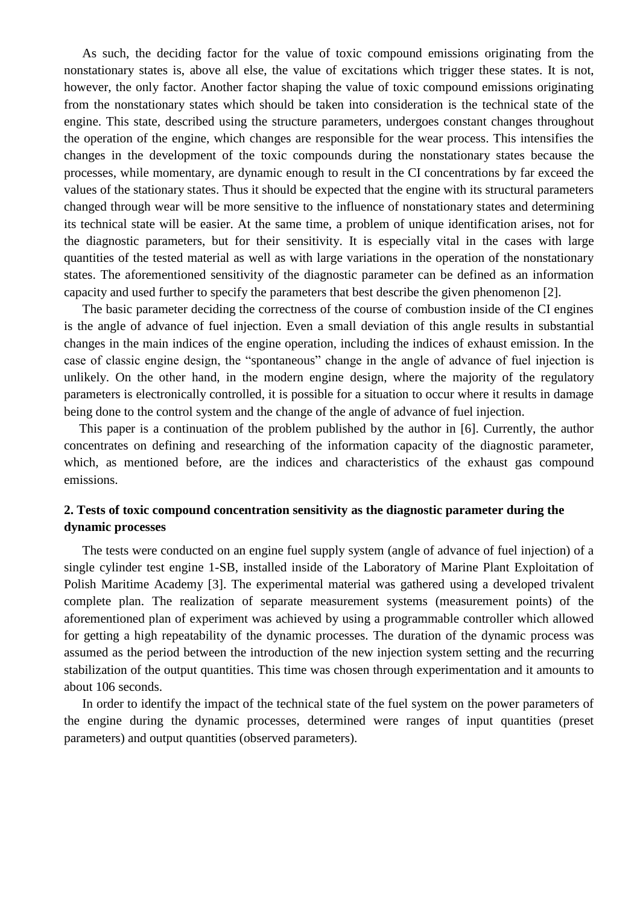As such, the deciding factor for the value of toxic compound emissions originating from the nonstationary states is, above all else, the value of excitations which trigger these states. It is not, however, the only factor. Another factor shaping the value of toxic compound emissions originating from the nonstationary states which should be taken into consideration is the technical state of the engine. This state, described using the structure parameters, undergoes constant changes throughout the operation of the engine, which changes are responsible for the wear process. This intensifies the changes in the development of the toxic compounds during the nonstationary states because the processes, while momentary, are dynamic enough to result in the CI concentrations by far exceed the values of the stationary states. Thus it should be expected that the engine with its structural parameters changed through wear will be more sensitive to the influence of nonstationary states and determining its technical state will be easier. At the same time, a problem of unique identification arises, not for the diagnostic parameters, but for their sensitivity. It is especially vital in the cases with large quantities of the tested material as well as with large variations in the operation of the nonstationary states. The aforementioned sensitivity of the diagnostic parameter can be defined as an information capacity and used further to specify the parameters that best describe the given phenomenon [2].

The basic parameter deciding the correctness of the course of combustion inside of the CI engines is the angle of advance of fuel injection. Even a small deviation of this angle results in substantial changes in the main indices of the engine operation, including the indices of exhaust emission. In the case of classic engine design, the "spontaneous" change in the angle of advance of fuel injection is unlikely. On the other hand, in the modern engine design, where the majority of the regulatory parameters is electronically controlled, it is possible for a situation to occur where it results in damage being done to the control system and the change of the angle of advance of fuel injection.

This paper is a continuation of the problem published by the author in [6]. Currently, the author concentrates on defining and researching of the information capacity of the diagnostic parameter, which, as mentioned before, are the indices and characteristics of the exhaust gas compound emissions.

## **2. Tests of toxic compound concentration sensitivity as the diagnostic parameter during the dynamic processes**

The tests were conducted on an engine fuel supply system (angle of advance of fuel injection) of a single cylinder test engine 1-SB, installed inside of the Laboratory of Marine Plant Exploitation of Polish Maritime Academy [3]. The experimental material was gathered using a developed trivalent complete plan. The realization of separate measurement systems (measurement points) of the aforementioned plan of experiment was achieved by using a programmable controller which allowed for getting a high repeatability of the dynamic processes. The duration of the dynamic process was assumed as the period between the introduction of the new injection system setting and the recurring stabilization of the output quantities. This time was chosen through experimentation and it amounts to about 106 seconds.

In order to identify the impact of the technical state of the fuel system on the power parameters of the engine during the dynamic processes, determined were ranges of input quantities (preset parameters) and output quantities (observed parameters).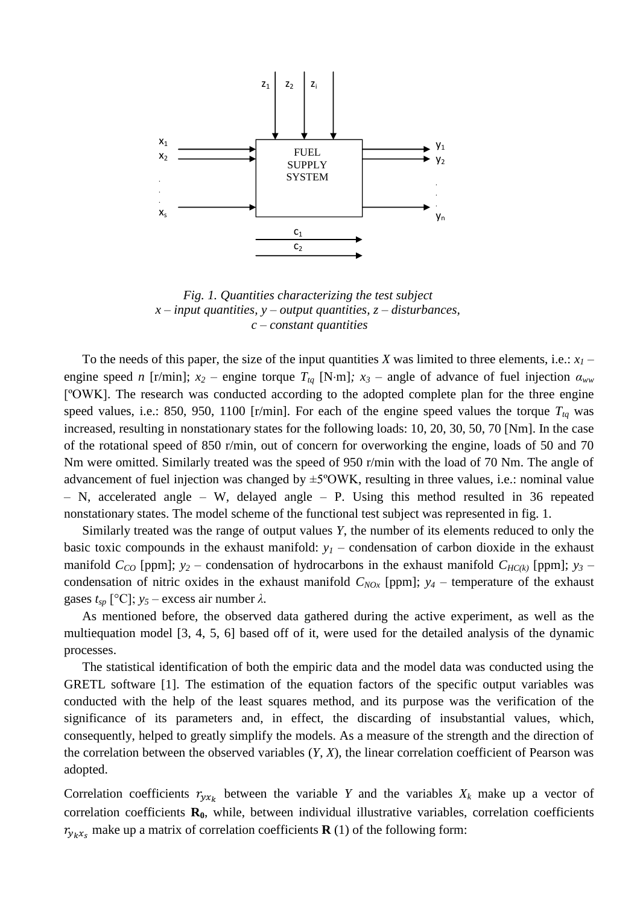

*Fig. 1. Quantities characterizing the test subject x – input quantities, y – output quantities, z – disturbances, c – constant quantities*

To the needs of this paper, the size of the input quantities *X* was limited to three elements, i.e.:  $x_1$  – engine speed *n* [r/min];  $x_2$  – engine torque  $T_{tq}$  [N·m];  $x_3$  – angle of advance of fuel injection  $\alpha_{ww}$ [ºOWK]. The research was conducted according to the adopted complete plan for the three engine speed values, i.e.: 850, 950, 1100 [r/min]. For each of the engine speed values the torque  $T_{tq}$  was increased, resulting in nonstationary states for the following loads: 10, 20, 30, 50, 70 [Nm]. In the case of the rotational speed of 850 r/min, out of concern for overworking the engine, loads of 50 and 70 Nm were omitted. Similarly treated was the speed of 950 r/min with the load of 70 Nm. The angle of advancement of fuel injection was changed by ±5ºOWK, resulting in three values, i.e.: nominal value – N, accelerated angle – W, delayed angle – P. Using this method resulted in 36 repeated nonstationary states. The model scheme of the functional test subject was represented in fig. 1.

Similarly treated was the range of output values *Y*, the number of its elements reduced to only the basic toxic compounds in the exhaust manifold:  $y<sub>1</sub>$  – condensation of carbon dioxide in the exhaust manifold  $C_{CO}$  [ppm];  $y_2$  – condensation of hydrocarbons in the exhaust manifold  $C_{HC(k)}$  [ppm];  $y_3$  – condensation of nitric oxides in the exhaust manifold  $C_{NOx}$  [ppm];  $y_4$  – temperature of the exhaust gases  $t_{sp}$  [°C];  $y_5$  – excess air number  $\lambda$ .

As mentioned before, the observed data gathered during the active experiment, as well as the multiequation model [3, 4, 5, 6] based off of it, were used for the detailed analysis of the dynamic processes.

The statistical identification of both the empiric data and the model data was conducted using the GRETL software [1]. The estimation of the equation factors of the specific output variables was conducted with the help of the least squares method, and its purpose was the verification of the significance of its parameters and, in effect, the discarding of insubstantial values, which, consequently, helped to greatly simplify the models. As a measure of the strength and the direction of the correlation between the observed variables (*Y*, *X*), the linear correlation coefficient of Pearson was adopted.

Correlation coefficients  $r_{y x_k}$  between the variable *Y* and the variables  $X_k$  make up a vector of correlation coefficients **R0**, while, between individual illustrative variables, correlation coefficients  $r_{y_kx_s}$  make up a matrix of correlation coefficients **R** (1) of the following form: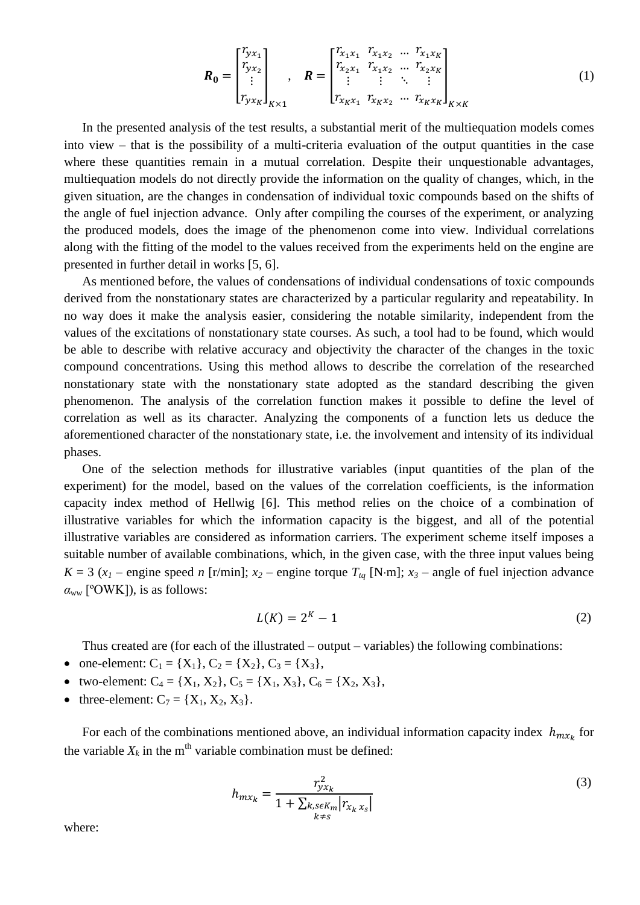$$
\boldsymbol{R}_{0} = \begin{bmatrix} r_{yx_1} \\ r_{yx_2} \\ \vdots \\ r_{yx_K} \end{bmatrix}_{K \times 1}, \quad \boldsymbol{R} = \begin{bmatrix} r_{x_1x_1} & r_{x_1x_2} & \dots & r_{x_1x_K} \\ r_{x_2x_1} & r_{x_1x_2} & \dots & r_{x_2x_K} \\ \vdots & \vdots & \ddots & \vdots \\ r_{x_Kx_1} & r_{x_Kx_2} & \dots & r_{x_Kx_K} \end{bmatrix}_{K \times K}
$$
(1)

In the presented analysis of the test results, a substantial merit of the multiequation models comes into view – that is the possibility of a multi-criteria evaluation of the output quantities in the case where these quantities remain in a mutual correlation. Despite their unquestionable advantages, multiequation models do not directly provide the information on the quality of changes, which, in the given situation, are the changes in condensation of individual toxic compounds based on the shifts of the angle of fuel injection advance. Only after compiling the courses of the experiment, or analyzing the produced models, does the image of the phenomenon come into view. Individual correlations along with the fitting of the model to the values received from the experiments held on the engine are presented in further detail in works [5, 6].

As mentioned before, the values of condensations of individual condensations of toxic compounds derived from the nonstationary states are characterized by a particular regularity and repeatability. In no way does it make the analysis easier, considering the notable similarity, independent from the values of the excitations of nonstationary state courses. As such, a tool had to be found, which would be able to describe with relative accuracy and objectivity the character of the changes in the toxic compound concentrations. Using this method allows to describe the correlation of the researched nonstationary state with the nonstationary state adopted as the standard describing the given phenomenon. The analysis of the correlation function makes it possible to define the level of correlation as well as its character. Analyzing the components of a function lets us deduce the aforementioned character of the nonstationary state, i.e. the involvement and intensity of its individual phases.

One of the selection methods for illustrative variables (input quantities of the plan of the experiment) for the model, based on the values of the correlation coefficients, is the information capacity index method of Hellwig [6]. This method relies on the choice of a combination of illustrative variables for which the information capacity is the biggest, and all of the potential illustrative variables are considered as information carriers. The experiment scheme itself imposes a suitable number of available combinations, which, in the given case, with the three input values being  $K = 3$  ( $x_1$  – engine speed *n* [r/min];  $x_2$  – engine torque  $T_{tq}$  [N·m];  $x_3$  – angle of fuel injection advance  $\alpha_{ww}$  [<sup>o</sup>OWK]), is as follows:

$$
L(K) = 2^K - 1 \tag{2}
$$

Thus created are (for each of the illustrated – output – variables) the following combinations:

- one-element:  $C_1 = \{X_1\}$ ,  $C_2 = \{X_2\}$ ,  $C_3 = \{X_3\}$ ,
- two-element:  $C_4 = \{X_1, X_2\}$ ,  $C_5 = \{X_1, X_3\}$ ,  $C_6 = \{X_2, X_3\}$ ,
- three-element:  $C_7 = \{X_1, X_2, X_3\}.$

For each of the combinations mentioned above, an individual information capacity index  $h_{m x_k}$  for the variable  $X_k$  in the m<sup>th</sup> variable combination must be defined:

$$
h_{mx_k} = \frac{r_{yx_k}^2}{1 + \sum_{\substack{k,s \in K_m \\ k \neq s}} |r_{x_k, x_s}|}
$$
(3)

where: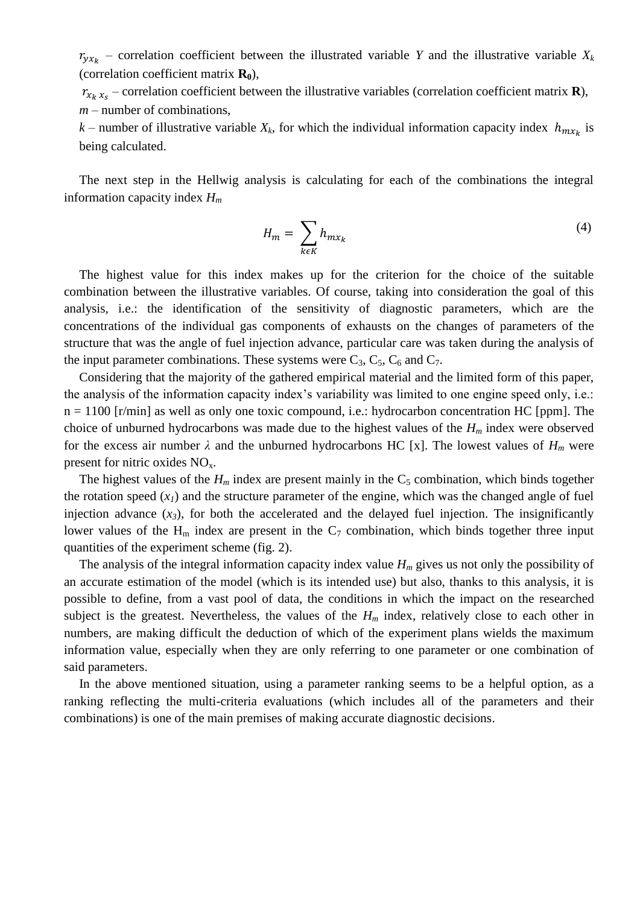$r_{y x_k}$  – correlation coefficient between the illustrated variable *Y* and the illustrative variable  $X_k$ (correlation coefficient matrix **R0**),

 $r_{x_k x_s}$  – correlation coefficient between the illustrative variables (correlation coefficient matrix **R**), *m* – number of combinations,

*k* – number of illustrative variable  $X_k$ , for which the individual information capacity index  $h_{m x_k}$  is being calculated.

The next step in the Hellwig analysis is calculating for each of the combinations the integral information capacity index *H<sup>m</sup>*

$$
H_m = \sum_{k \in K} h_{m x_k} \tag{4}
$$

The highest value for this index makes up for the criterion for the choice of the suitable combination between the illustrative variables. Of course, taking into consideration the goal of this analysis, i.e.: the identification of the sensitivity of diagnostic parameters, which are the concentrations of the individual gas components of exhausts on the changes of parameters of the structure that was the angle of fuel injection advance, particular care was taken during the analysis of the input parameter combinations. These systems were  $C_3$ ,  $C_5$ ,  $C_6$  and  $C_7$ .

Considering that the majority of the gathered empirical material and the limited form of this paper, the analysis of the information capacity index's variability was limited to one engine speed only, i.e.:  $n = 1100$  [r/min] as well as only one toxic compound, i.e.: hydrocarbon concentration HC [ppm]. The choice of unburned hydrocarbons was made due to the highest values of the *H<sup>m</sup>* index were observed for the excess air number  $\lambda$  and the unburned hydrocarbons HC [x]. The lowest values of  $H_m$  were present for nitric oxides  $NO<sub>x</sub>$ .

The highest values of the  $H_m$  index are present mainly in the  $C_5$  combination, which binds together the rotation speed  $(x<sub>1</sub>)$  and the structure parameter of the engine, which was the changed angle of fuel injection advance  $(x_3)$ , for both the accelerated and the delayed fuel injection. The insignificantly lower values of the  $H_m$  index are present in the  $C_7$  combination, which binds together three input quantities of the experiment scheme (fig. 2).

The analysis of the integral information capacity index value *H<sup>m</sup>* gives us not only the possibility of an accurate estimation of the model (which is its intended use) but also, thanks to this analysis, it is possible to define, from a vast pool of data, the conditions in which the impact on the researched subject is the greatest. Nevertheless, the values of the  $H_m$  index, relatively close to each other in numbers, are making difficult the deduction of which of the experiment plans wields the maximum information value, especially when they are only referring to one parameter or one combination of said parameters.

In the above mentioned situation, using a parameter ranking seems to be a helpful option, as a ranking reflecting the multi-criteria evaluations (which includes all of the parameters and their combinations) is one of the main premises of making accurate diagnostic decisions.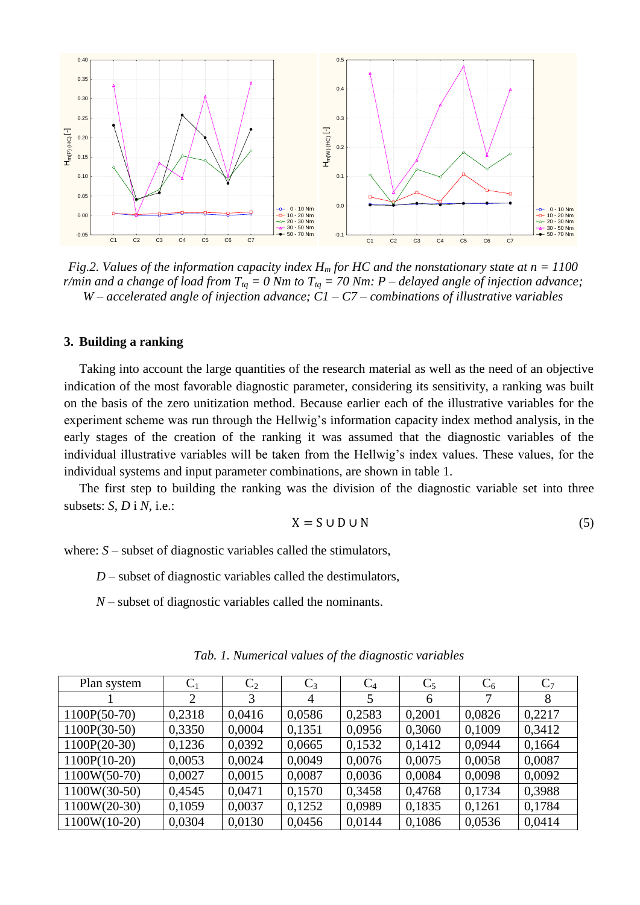

*Fig.2. Values of the information capacity index H<sup>m</sup> for HC and the nonstationary state at n = 1100 r/min and a change of load from Ttq = 0 Nm to Ttq = 70 Nm: P – delayed angle of injection advance; W – accelerated angle of injection advance; C1 – C7 – combinations of illustrative variables*

## **3. Building a ranking**

Taking into account the large quantities of the research material as well as the need of an objective indication of the most favorable diagnostic parameter, considering its sensitivity, a ranking was built on the basis of the zero unitization method. Because earlier each of the illustrative variables for the experiment scheme was run through the Hellwig's information capacity index method analysis, in the early stages of the creation of the ranking it was assumed that the diagnostic variables of the individual illustrative variables will be taken from the Hellwig's index values. These values, for the individual systems and input parameter combinations, are shown in table 1.

The first step to building the ranking was the division of the diagnostic variable set into three subsets: *S*, *D* i *N*, i.e.:

$$
X = S \cup D \cup N \tag{5}
$$

where:  $S$  – subset of diagnostic variables called the stimulators,

*D* – subset of diagnostic variables called the destimulators,

*N* – subset of diagnostic variables called the nominants.

| Plan system    | $\mathrm{C}_1$ | $C_2$  | $C_3$          | $C_4$  | $C_5$  | $C_6$  | $C_7$  |
|----------------|----------------|--------|----------------|--------|--------|--------|--------|
|                | $\overline{2}$ | 3      | $\overline{4}$ | 5      | 6      | 7      | 8      |
| 1100P(50-70)   | 0,2318         | 0,0416 | 0,0586         | 0,2583 | 0,2001 | 0,0826 | 0,2217 |
| 1100P(30-50)   | 0,3350         | 0,0004 | 0,1351         | 0,0956 | 0,3060 | 0,1009 | 0,3412 |
| $1100P(20-30)$ | 0,1236         | 0,0392 | 0,0665         | 0,1532 | 0,1412 | 0,0944 | 0,1664 |
| $1100P(10-20)$ | 0,0053         | 0,0024 | 0,0049         | 0,0076 | 0,0075 | 0,0058 | 0,0087 |
| $1100W(50-70)$ | 0,0027         | 0,0015 | 0,0087         | 0,0036 | 0,0084 | 0,0098 | 0,0092 |
| $1100W(30-50)$ | 0,4545         | 0,0471 | 0,1570         | 0,3458 | 0,4768 | 0,1734 | 0,3988 |
| $1100W(20-30)$ | 0,1059         | 0,0037 | 0,1252         | 0,0989 | 0,1835 | 0,1261 | 0,1784 |
| 1100W(10-20)   | 0,0304         | 0,0130 | 0.0456         | 0.0144 | 0,1086 | 0,0536 | 0,0414 |

*Tab. 1. Numerical values of the diagnostic variables*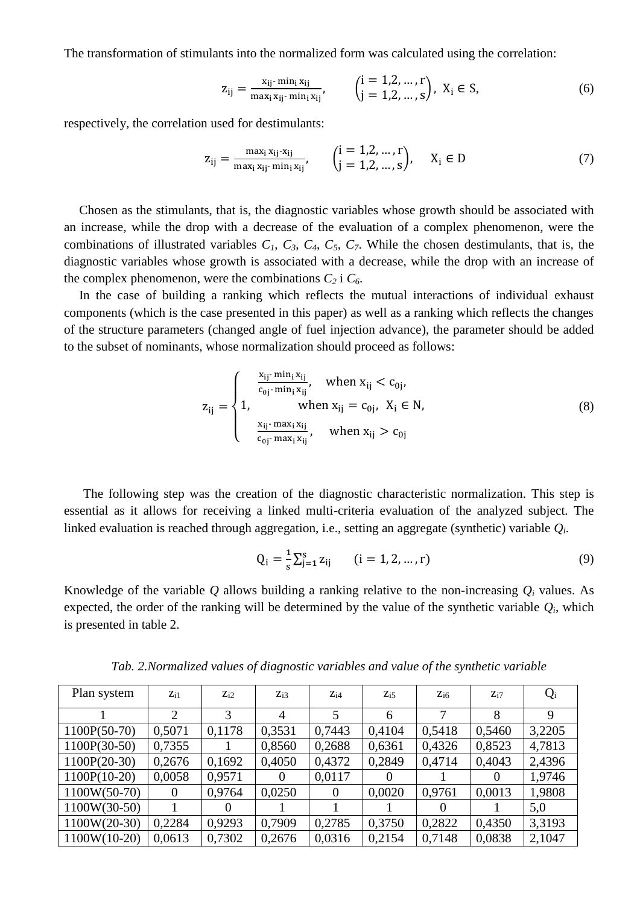The transformation of stimulants into the normalized form was calculated using the correlation:

$$
z_{ij} = \frac{x_{ij} \cdot \min_i x_{ij}}{\max_i x_{ij} \cdot \min_i x_{ij}}, \qquad \begin{pmatrix} i = 1, 2, \dots, r \\ j = 1, 2, \dots, s \end{pmatrix}, X_i \in S,
$$
 (6)

respectively, the correlation used for destimulants:

$$
z_{ij} = \frac{\max_i x_{ij} - x_{ij}}{\max_i x_{ij} - \min_i x_{ij}}, \qquad \begin{pmatrix} i = 1, 2, ..., r \\ j = 1, 2, ..., s \end{pmatrix}, \qquad X_i \in D \tag{7}
$$

Chosen as the stimulants, that is, the diagnostic variables whose growth should be associated with an increase, while the drop with a decrease of the evaluation of a complex phenomenon, were the combinations of illustrated variables  $C_1$ ,  $C_3$ ,  $C_4$ ,  $C_5$ ,  $C_7$ . While the chosen destimulants, that is, the diagnostic variables whose growth is associated with a decrease, while the drop with an increase of the complex phenomenon, were the combinations  $C_2$  i  $C_6$ .

In the case of building a ranking which reflects the mutual interactions of individual exhaust components (which is the case presented in this paper) as well as a ranking which reflects the changes of the structure parameters (changed angle of fuel injection advance), the parameter should be added to the subset of nominants, whose normalization should proceed as follows:

$$
z_{ij} = \begin{cases} \frac{x_{ij} - \min_{i} x_{ij}}{c_{0j} - \min_{i} x_{ij}}, & \text{when } x_{ij} < c_{0j},\\ 1, & \text{when } x_{ij} = c_{0j}, \ X_{i} \in N, \frac{x_{ij} - \max_{i} x_{ij}}{c_{0j} - \max_{i} x_{ij}}, & \text{when } x_{ij} > c_{0j} \end{cases} \tag{8}
$$

 The following step was the creation of the diagnostic characteristic normalization. This step is essential as it allows for receiving a linked multi-criteria evaluation of the analyzed subject. The linked evaluation is reached through aggregation, i.e., setting an aggregate (synthetic) variable *Q<sup>i</sup>* .

$$
Q_i = \frac{1}{s} \sum_{j=1}^{s} z_{ij} \qquad (i = 1, 2, ..., r)
$$
 (9)

Knowledge of the variable *Q* allows building a ranking relative to the non-increasing *Q<sup>i</sup>* values. As expected, the order of the ranking will be determined by the value of the synthetic variable  $Q_i$ , which is presented in table 2.

| Plan system    | $Z_{i1}$ | $Z_{i2}$ | $Z_{i3}$ | $Z_{i4}$ | $Z_{i,5}$ | $Z_{i6}$ | $Z_{i7}$ | $Q_i$  |
|----------------|----------|----------|----------|----------|-----------|----------|----------|--------|
|                | 2        | 3        | 4        | 5        | 6         | 7        | 8        |        |
| $1100P(50-70)$ | 0,5071   | 0,1178   | 0,3531   | 0,7443   | 0,4104    | 0,5418   | 0,5460   | 3,2205 |
| $1100P(30-50)$ | 0,7355   |          | 0,8560   | 0,2688   | 0,6361    | 0,4326   | 0,8523   | 4,7813 |
| $1100P(20-30)$ | 0,2676   | 0,1692   | 0,4050   | 0,4372   | 0,2849    | 0,4714   | 0,4043   | 2,4396 |
| $1100P(10-20)$ | 0,0058   | 0,9571   | $\theta$ | 0,0117   | $\Omega$  |          | $\Omega$ | 1,9746 |
| $1100W(50-70)$ | $\theta$ | 0,9764   | 0,0250   | $\theta$ | 0,0020    | 0,9761   | 0,0013   | 1,9808 |
| $1100W(30-50)$ |          | $\Omega$ |          |          |           | $\theta$ |          | 5,0    |
| $1100W(20-30)$ | 0,2284   | 0,9293   | 0,7909   | 0,2785   | 0,3750    | 0,2822   | 0,4350   | 3,3193 |
| $1100W(10-20)$ | 0,0613   | 0,7302   | 0,2676   | 0,0316   | 0,2154    | 0,7148   | 0,0838   | 2,1047 |

*Tab. 2.Normalized values of diagnostic variables and value of the synthetic variable*